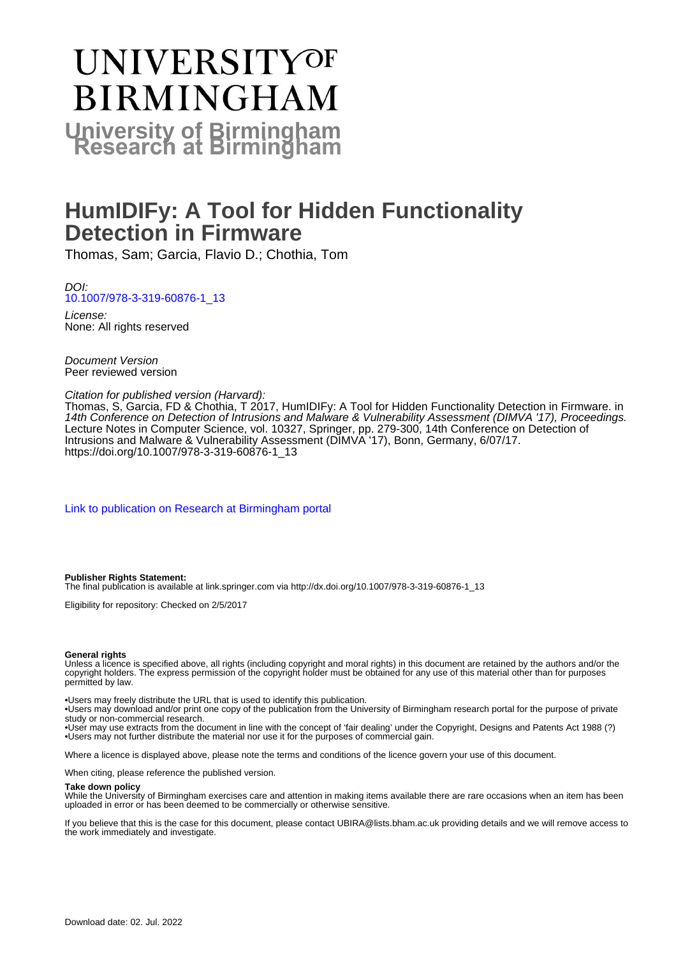# UNIVERSITYOF **BIRMINGHAM University of Birmingham**

## **HumIDIFy: A Tool for Hidden Functionality Detection in Firmware**

Thomas, Sam; Garcia, Flavio D.; Chothia, Tom

DOI: [10.1007/978-3-319-60876-1\\_13](https://doi.org/10.1007/978-3-319-60876-1_13)

License: None: All rights reserved

Document Version Peer reviewed version

#### Citation for published version (Harvard):

Thomas, S, Garcia, FD & Chothia, T 2017, HumIDIFy: A Tool for Hidden Functionality Detection in Firmware. in 14th Conference on Detection of Intrusions and Malware & Vulnerability Assessment (DIMVA '17), Proceedings. Lecture Notes in Computer Science, vol. 10327, Springer, pp. 279-300, 14th Conference on Detection of Intrusions and Malware & Vulnerability Assessment (DIMVA '17), Bonn, Germany, 6/07/17. [https://doi.org/10.1007/978-3-319-60876-1\\_13](https://doi.org/10.1007/978-3-319-60876-1_13)

[Link to publication on Research at Birmingham portal](https://birmingham.elsevierpure.com/en/publications/0864820c-0dc9-47b2-adfc-7f079a4f987b)

#### **Publisher Rights Statement:**

The final publication is available at link.springer.com via http://dx.doi.org/10.1007/978-3-319-60876-1\_13

Eligibility for repository: Checked on 2/5/2017

#### **General rights**

Unless a licence is specified above, all rights (including copyright and moral rights) in this document are retained by the authors and/or the copyright holders. The express permission of the copyright holder must be obtained for any use of this material other than for purposes permitted by law.

• Users may freely distribute the URL that is used to identify this publication.

• Users may download and/or print one copy of the publication from the University of Birmingham research portal for the purpose of private study or non-commercial research.

• User may use extracts from the document in line with the concept of 'fair dealing' under the Copyright, Designs and Patents Act 1988 (?) • Users may not further distribute the material nor use it for the purposes of commercial gain.

Where a licence is displayed above, please note the terms and conditions of the licence govern your use of this document.

When citing, please reference the published version.

#### **Take down policy**

While the University of Birmingham exercises care and attention in making items available there are rare occasions when an item has been uploaded in error or has been deemed to be commercially or otherwise sensitive.

If you believe that this is the case for this document, please contact UBIRA@lists.bham.ac.uk providing details and we will remove access to the work immediately and investigate.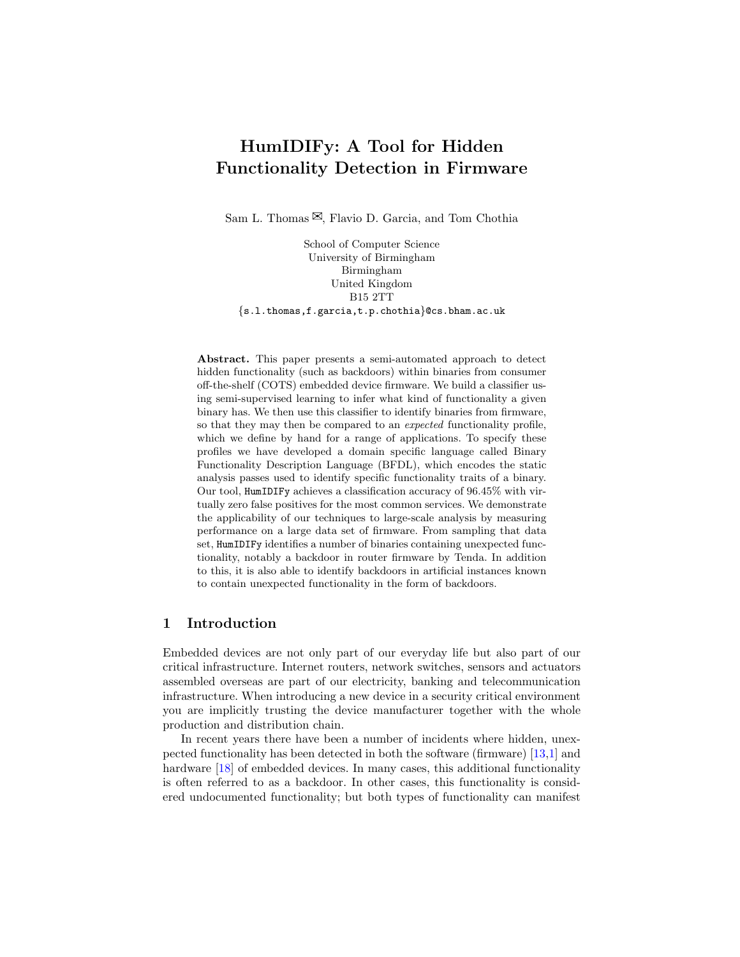### HumIDIFy: A Tool for Hidden Functionality Detection in Firmware

Sam L. Thomas  $\mathbb{Z}$ , Flavio D. Garcia, and Tom Chothia

School of Computer Science University of Birmingham Birmingham United Kingdom B15 2TT {s.l.thomas,f.garcia,t.p.chothia}@cs.bham.ac.uk

Abstract. This paper presents a semi-automated approach to detect hidden functionality (such as backdoors) within binaries from consumer off-the-shelf (COTS) embedded device firmware. We build a classifier using semi-supervised learning to infer what kind of functionality a given binary has. We then use this classifier to identify binaries from firmware, so that they may then be compared to an expected functionality profile, which we define by hand for a range of applications. To specify these profiles we have developed a domain specific language called Binary Functionality Description Language (BFDL), which encodes the static analysis passes used to identify specific functionality traits of a binary. Our tool, HumIDIFy achieves a classification accuracy of 96.45% with virtually zero false positives for the most common services. We demonstrate the applicability of our techniques to large-scale analysis by measuring performance on a large data set of firmware. From sampling that data set, HumIDIFy identifies a number of binaries containing unexpected functionality, notably a backdoor in router firmware by Tenda. In addition to this, it is also able to identify backdoors in artificial instances known to contain unexpected functionality in the form of backdoors.

#### 1 Introduction

Embedded devices are not only part of our everyday life but also part of our critical infrastructure. Internet routers, network switches, sensors and actuators assembled overseas are part of our electricity, banking and telecommunication infrastructure. When introducing a new device in a security critical environment you are implicitly trusting the device manufacturer together with the whole production and distribution chain.

In recent years there have been a number of incidents where hidden, unexpected functionality has been detected in both the software (firmware) [\[13](#page-22-0)[,1\]](#page-21-0) and hardware [\[18\]](#page-22-1) of embedded devices. In many cases, this additional functionality is often referred to as a backdoor. In other cases, this functionality is considered undocumented functionality; but both types of functionality can manifest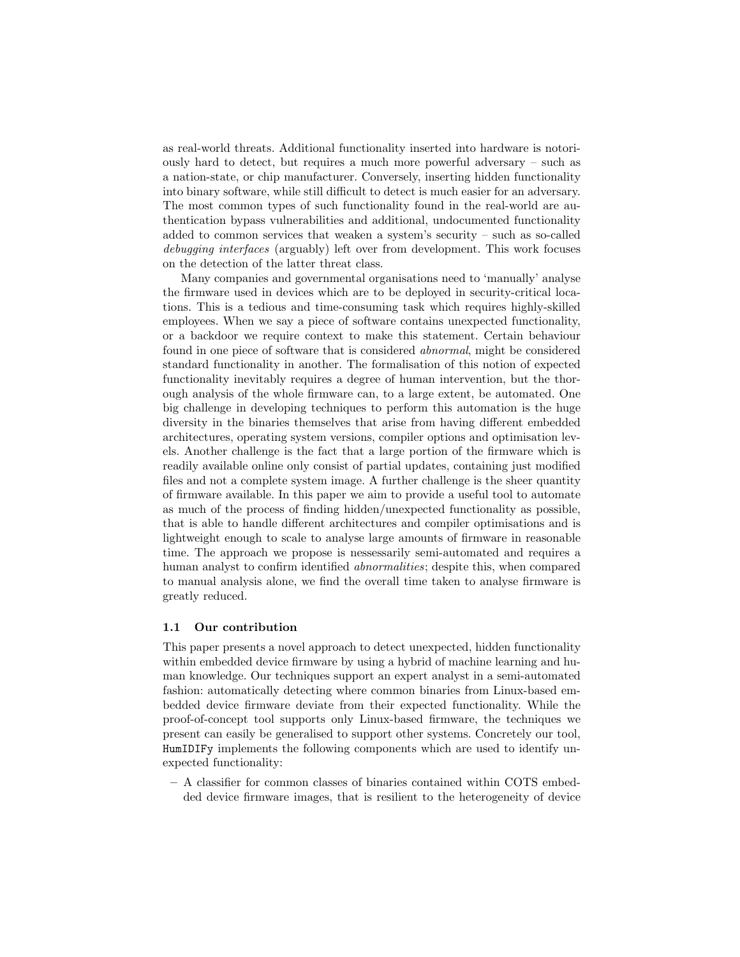as real-world threats. Additional functionality inserted into hardware is notoriously hard to detect, but requires a much more powerful adversary – such as a nation-state, or chip manufacturer. Conversely, inserting hidden functionality into binary software, while still difficult to detect is much easier for an adversary. The most common types of such functionality found in the real-world are authentication bypass vulnerabilities and additional, undocumented functionality added to common services that weaken a system's security – such as so-called debugging interfaces (arguably) left over from development. This work focuses on the detection of the latter threat class.

Many companies and governmental organisations need to 'manually' analyse the firmware used in devices which are to be deployed in security-critical locations. This is a tedious and time-consuming task which requires highly-skilled employees. When we say a piece of software contains unexpected functionality, or a backdoor we require context to make this statement. Certain behaviour found in one piece of software that is considered abnormal, might be considered standard functionality in another. The formalisation of this notion of expected functionality inevitably requires a degree of human intervention, but the thorough analysis of the whole firmware can, to a large extent, be automated. One big challenge in developing techniques to perform this automation is the huge diversity in the binaries themselves that arise from having different embedded architectures, operating system versions, compiler options and optimisation levels. Another challenge is the fact that a large portion of the firmware which is readily available online only consist of partial updates, containing just modified files and not a complete system image. A further challenge is the sheer quantity of firmware available. In this paper we aim to provide a useful tool to automate as much of the process of finding hidden/unexpected functionality as possible, that is able to handle different architectures and compiler optimisations and is lightweight enough to scale to analyse large amounts of firmware in reasonable time. The approach we propose is nessessarily semi-automated and requires a human analyst to confirm identified *abnormalities*; despite this, when compared to manual analysis alone, we find the overall time taken to analyse firmware is greatly reduced.

#### <span id="page-2-0"></span>1.1 Our contribution

This paper presents a novel approach to detect unexpected, hidden functionality within embedded device firmware by using a hybrid of machine learning and human knowledge. Our techniques support an expert analyst in a semi-automated fashion: automatically detecting where common binaries from Linux-based embedded device firmware deviate from their expected functionality. While the proof-of-concept tool supports only Linux-based firmware, the techniques we present can easily be generalised to support other systems. Concretely our tool, HumIDIFy implements the following components which are used to identify unexpected functionality:

– A classifier for common classes of binaries contained within COTS embedded device firmware images, that is resilient to the heterogeneity of device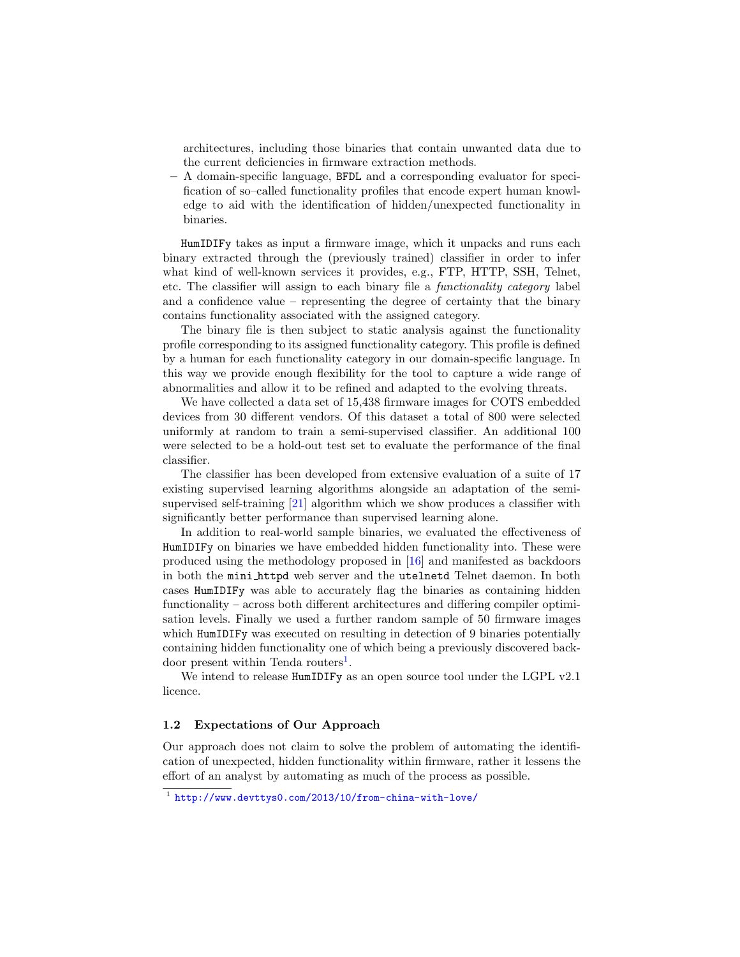architectures, including those binaries that contain unwanted data due to the current deficiencies in firmware extraction methods.

– A domain-specific language, BFDL and a corresponding evaluator for specification of so–called functionality profiles that encode expert human knowledge to aid with the identification of hidden/unexpected functionality in binaries.

HumIDIFy takes as input a firmware image, which it unpacks and runs each binary extracted through the (previously trained) classifier in order to infer what kind of well-known services it provides, e.g., FTP, HTTP, SSH, Telnet, etc. The classifier will assign to each binary file a functionality category label and a confidence value – representing the degree of certainty that the binary contains functionality associated with the assigned category.

The binary file is then subject to static analysis against the functionality profile corresponding to its assigned functionality category. This profile is defined by a human for each functionality category in our domain-specific language. In this way we provide enough flexibility for the tool to capture a wide range of abnormalities and allow it to be refined and adapted to the evolving threats.

We have collected a data set of 15,438 firmware images for COTS embedded devices from 30 different vendors. Of this dataset a total of 800 were selected uniformly at random to train a semi-supervised classifier. An additional 100 were selected to be a hold-out test set to evaluate the performance of the final classifier.

The classifier has been developed from extensive evaluation of a suite of 17 existing supervised learning algorithms alongside an adaptation of the semisupervised self-training [\[21\]](#page-22-2) algorithm which we show produces a classifier with significantly better performance than supervised learning alone.

In addition to real-world sample binaries, we evaluated the effectiveness of HumIDIFy on binaries we have embedded hidden functionality into. These were produced using the methodology proposed in [\[16\]](#page-22-3) and manifested as backdoors in both the mini httpd web server and the utelnetd Telnet daemon. In both cases HumIDIFy was able to accurately flag the binaries as containing hidden functionality – across both different architectures and differing compiler optimisation levels. Finally we used a further random sample of 50 firmware images which HumIDIFy was executed on resulting in detection of 9 binaries potentially containing hidden functionality one of which being a previously discovered back-door present within Tenda routers<sup>[1](#page-3-0)</sup>.

We intend to release  $\text{HumIDIFy}$  as an open source tool under the LGPL v2.1 licence.

#### 1.2 Expectations of Our Approach

Our approach does not claim to solve the problem of automating the identification of unexpected, hidden functionality within firmware, rather it lessens the effort of an analyst by automating as much of the process as possible.

<span id="page-3-0"></span><sup>1</sup> <http://www.devttys0.com/2013/10/from-china-with-love/>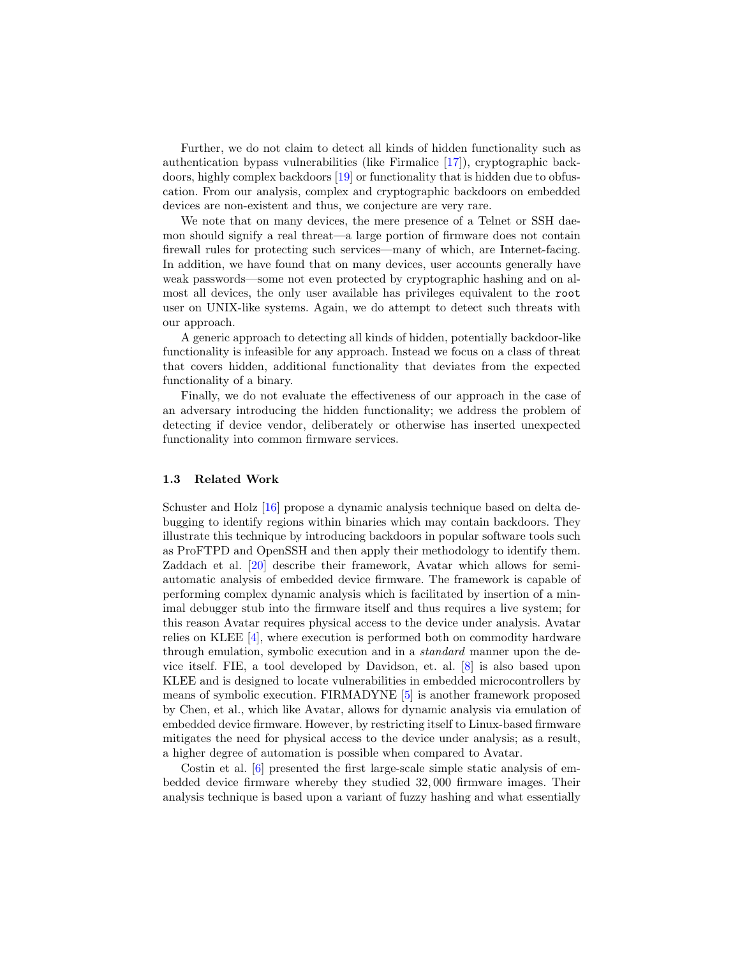Further, we do not claim to detect all kinds of hidden functionality such as authentication bypass vulnerabilities (like Firmalice [\[17\]](#page-22-4)), cryptographic backdoors, highly complex backdoors [\[19\]](#page-22-5) or functionality that is hidden due to obfuscation. From our analysis, complex and cryptographic backdoors on embedded devices are non-existent and thus, we conjecture are very rare.

We note that on many devices, the mere presence of a Telnet or SSH daemon should signify a real threat—a large portion of firmware does not contain firewall rules for protecting such services—many of which, are Internet-facing. In addition, we have found that on many devices, user accounts generally have weak passwords—some not even protected by cryptographic hashing and on almost all devices, the only user available has privileges equivalent to the root user on UNIX-like systems. Again, we do attempt to detect such threats with our approach.

A generic approach to detecting all kinds of hidden, potentially backdoor-like functionality is infeasible for any approach. Instead we focus on a class of threat that covers hidden, additional functionality that deviates from the expected functionality of a binary.

Finally, we do not evaluate the effectiveness of our approach in the case of an adversary introducing the hidden functionality; we address the problem of detecting if device vendor, deliberately or otherwise has inserted unexpected functionality into common firmware services.

#### 1.3 Related Work

Schuster and Holz [\[16\]](#page-22-3) propose a dynamic analysis technique based on delta debugging to identify regions within binaries which may contain backdoors. They illustrate this technique by introducing backdoors in popular software tools such as ProFTPD and OpenSSH and then apply their methodology to identify them. Zaddach et al. [\[20\]](#page-22-6) describe their framework, Avatar which allows for semiautomatic analysis of embedded device firmware. The framework is capable of performing complex dynamic analysis which is facilitated by insertion of a minimal debugger stub into the firmware itself and thus requires a live system; for this reason Avatar requires physical access to the device under analysis. Avatar relies on KLEE [\[4\]](#page-21-1), where execution is performed both on commodity hardware through emulation, symbolic execution and in a standard manner upon the device itself. FIE, a tool developed by Davidson, et. al. [\[8\]](#page-22-7) is also based upon KLEE and is designed to locate vulnerabilities in embedded microcontrollers by means of symbolic execution. FIRMADYNE [\[5\]](#page-21-2) is another framework proposed by Chen, et al., which like Avatar, allows for dynamic analysis via emulation of embedded device firmware. However, by restricting itself to Linux-based firmware mitigates the need for physical access to the device under analysis; as a result, a higher degree of automation is possible when compared to Avatar.

Costin et al. [\[6\]](#page-22-8) presented the first large-scale simple static analysis of embedded device firmware whereby they studied 32, 000 firmware images. Their analysis technique is based upon a variant of fuzzy hashing and what essentially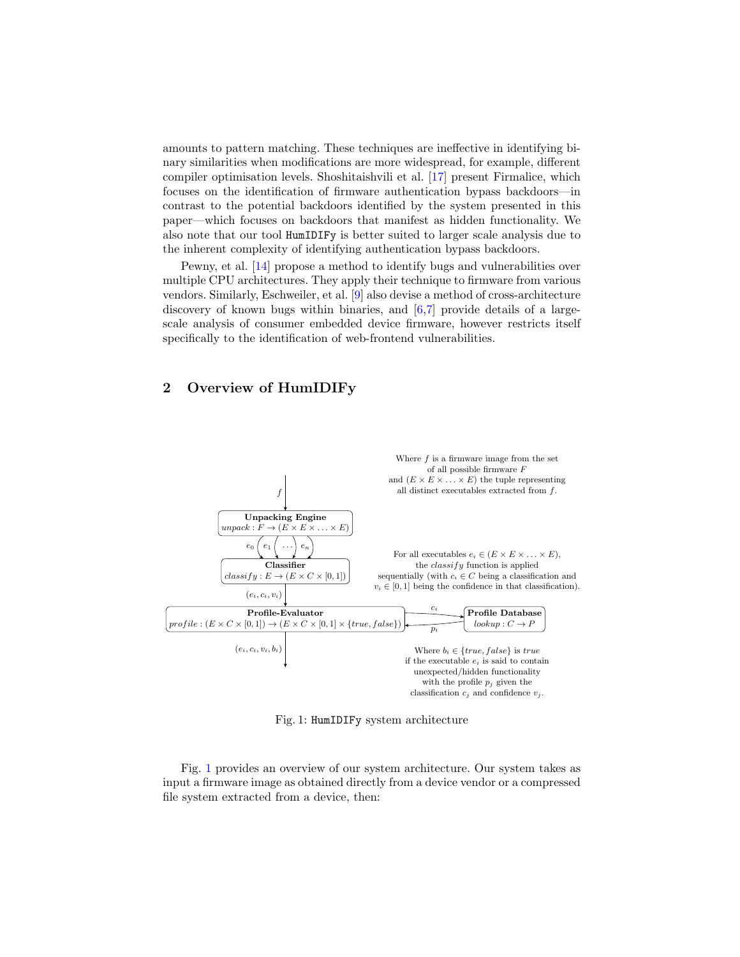amounts to pattern matching. These techniques are ineffective in identifying binary similarities when modifications are more widespread, for example, different compiler optimisation levels. Shoshitaishvili et al. [\[17\]](#page-22-4) present Firmalice, which focuses on the identification of firmware authentication bypass backdoors—in contrast to the potential backdoors identified by the system presented in this paper—which focuses on backdoors that manifest as hidden functionality. We also note that our tool HumIDIFy is better suited to larger scale analysis due to the inherent complexity of identifying authentication bypass backdoors.

Pewny, et al. [\[14\]](#page-22-9) propose a method to identify bugs and vulnerabilities over multiple CPU architectures. They apply their technique to firmware from various vendors. Similarly, Eschweiler, et al. [\[9\]](#page-22-10) also devise a method of cross-architecture discovery of known bugs within binaries, and [\[6,](#page-22-8)[7\]](#page-22-11) provide details of a largescale analysis of consumer embedded device firmware, however restricts itself specifically to the identification of web-frontend vulnerabilities.

#### 2 Overview of HumIDIFy

<span id="page-5-0"></span>

Fig. 1: HumIDIFy system architecture

Fig. [1](#page-5-0) provides an overview of our system architecture. Our system takes as input a firmware image as obtained directly from a device vendor or a compressed file system extracted from a device, then: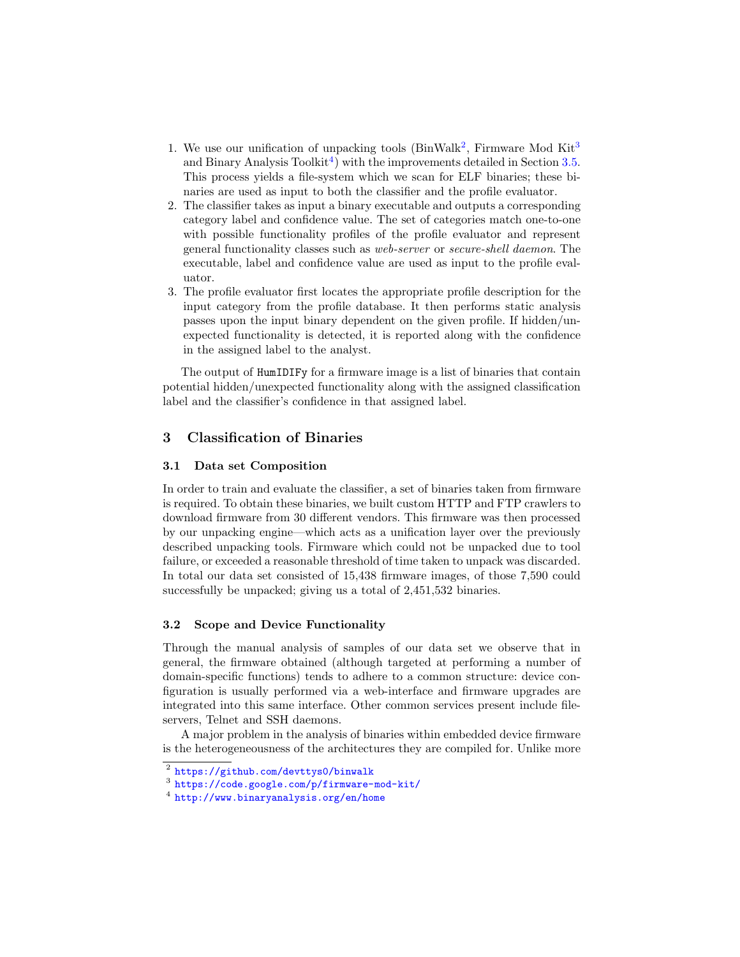- 1. We use our unification of unpacking tools  $(BinWalk<sup>2</sup>, Firmware Mod Kit<sup>3</sup>)$  $(BinWalk<sup>2</sup>, Firmware Mod Kit<sup>3</sup>)$  $(BinWalk<sup>2</sup>, Firmware Mod Kit<sup>3</sup>)$  $(BinWalk<sup>2</sup>, Firmware Mod Kit<sup>3</sup>)$  $(BinWalk<sup>2</sup>, Firmware Mod Kit<sup>3</sup>)$ and Binary Analysis Toolkit<sup>[4](#page-6-2)</sup>) with the improvements detailed in Section [3.5.](#page-12-0) This process yields a file-system which we scan for ELF binaries; these binaries are used as input to both the classifier and the profile evaluator.
- 2. The classifier takes as input a binary executable and outputs a corresponding category label and confidence value. The set of categories match one-to-one with possible functionality profiles of the profile evaluator and represent general functionality classes such as web-server or secure-shell daemon. The executable, label and confidence value are used as input to the profile evaluator.
- 3. The profile evaluator first locates the appropriate profile description for the input category from the profile database. It then performs static analysis passes upon the input binary dependent on the given profile. If hidden/unexpected functionality is detected, it is reported along with the confidence in the assigned label to the analyst.

The output of HumIDIFy for a firmware image is a list of binaries that contain potential hidden/unexpected functionality along with the assigned classification label and the classifier's confidence in that assigned label.

#### 3 Classification of Binaries

#### 3.1 Data set Composition

In order to train and evaluate the classifier, a set of binaries taken from firmware is required. To obtain these binaries, we built custom HTTP and FTP crawlers to download firmware from 30 different vendors. This firmware was then processed by our unpacking engine—which acts as a unification layer over the previously described unpacking tools. Firmware which could not be unpacked due to tool failure, or exceeded a reasonable threshold of time taken to unpack was discarded. In total our data set consisted of 15,438 firmware images, of those 7,590 could successfully be unpacked; giving us a total of 2,451,532 binaries.

#### 3.2 Scope and Device Functionality

Through the manual analysis of samples of our data set we observe that in general, the firmware obtained (although targeted at performing a number of domain-specific functions) tends to adhere to a common structure: device configuration is usually performed via a web-interface and firmware upgrades are integrated into this same interface. Other common services present include fileservers, Telnet and SSH daemons.

A major problem in the analysis of binaries within embedded device firmware is the heterogeneousness of the architectures they are compiled for. Unlike more

<span id="page-6-0"></span><sup>2</sup> <https://github.com/devttys0/binwalk>

<span id="page-6-1"></span><sup>3</sup> <https://code.google.com/p/firmware-mod-kit/>

<span id="page-6-2"></span><sup>4</sup> <http://www.binaryanalysis.org/en/home>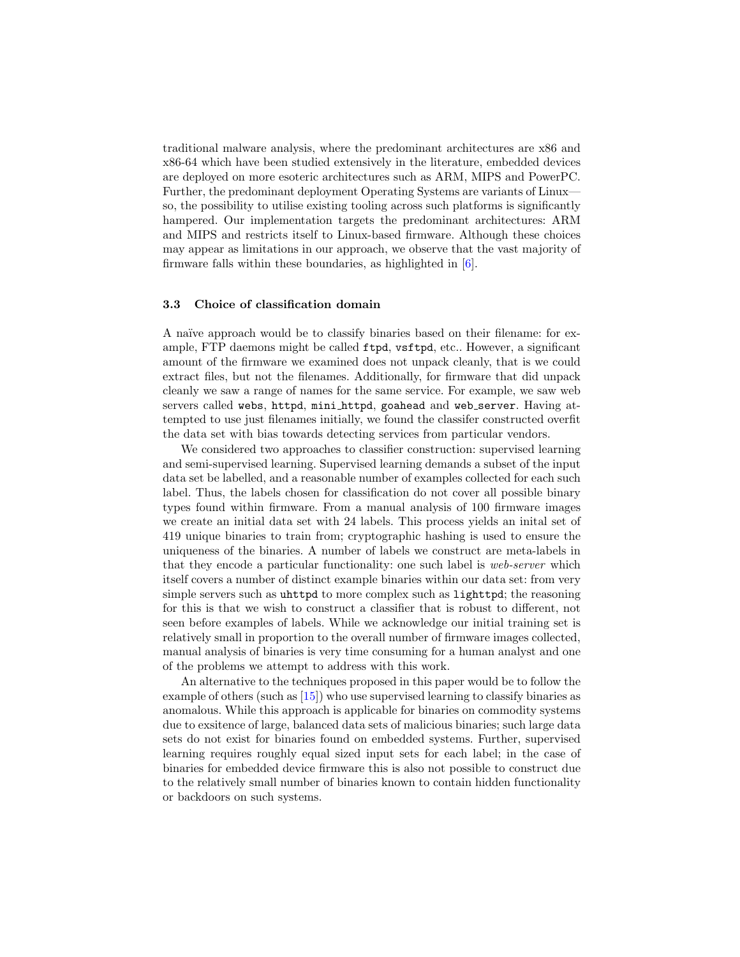traditional malware analysis, where the predominant architectures are x86 and x86-64 which have been studied extensively in the literature, embedded devices are deployed on more esoteric architectures such as ARM, MIPS and PowerPC. Further, the predominant deployment Operating Systems are variants of Linux so, the possibility to utilise existing tooling across such platforms is significantly hampered. Our implementation targets the predominant architectures: ARM and MIPS and restricts itself to Linux-based firmware. Although these choices may appear as limitations in our approach, we observe that the vast majority of firmware falls within these boundaries, as highlighted in [\[6\]](#page-22-8).

#### 3.3 Choice of classification domain

A naïve approach would be to classify binaries based on their filename: for example, FTP daemons might be called ftpd, vsftpd, etc.. However, a significant amount of the firmware we examined does not unpack cleanly, that is we could extract files, but not the filenames. Additionally, for firmware that did unpack cleanly we saw a range of names for the same service. For example, we saw web servers called webs, httpd, mini httpd, goahead and web server. Having attempted to use just filenames initially, we found the classifer constructed overfit the data set with bias towards detecting services from particular vendors.

We considered two approaches to classifier construction: supervised learning and semi-supervised learning. Supervised learning demands a subset of the input data set be labelled, and a reasonable number of examples collected for each such label. Thus, the labels chosen for classification do not cover all possible binary types found within firmware. From a manual analysis of 100 firmware images we create an initial data set with 24 labels. This process yields an inital set of 419 unique binaries to train from; cryptographic hashing is used to ensure the uniqueness of the binaries. A number of labels we construct are meta-labels in that they encode a particular functionality: one such label is web-server which itself covers a number of distinct example binaries within our data set: from very simple servers such as uhttpd to more complex such as lighttpd; the reasoning for this is that we wish to construct a classifier that is robust to different, not seen before examples of labels. While we acknowledge our initial training set is relatively small in proportion to the overall number of firmware images collected, manual analysis of binaries is very time consuming for a human analyst and one of the problems we attempt to address with this work.

An alternative to the techniques proposed in this paper would be to follow the example of others (such as [\[15\]](#page-22-12)) who use supervised learning to classify binaries as anomalous. While this approach is applicable for binaries on commodity systems due to exsitence of large, balanced data sets of malicious binaries; such large data sets do not exist for binaries found on embedded systems. Further, supervised learning requires roughly equal sized input sets for each label; in the case of binaries for embedded device firmware this is also not possible to construct due to the relatively small number of binaries known to contain hidden functionality or backdoors on such systems.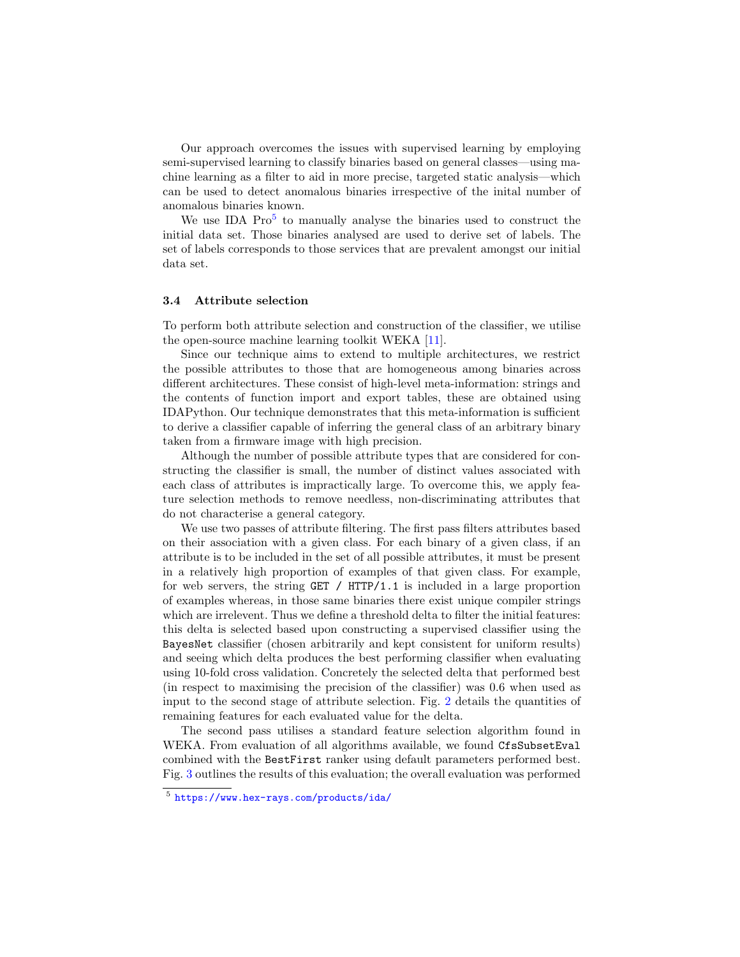Our approach overcomes the issues with supervised learning by employing semi-supervised learning to classify binaries based on general classes—using machine learning as a filter to aid in more precise, targeted static analysis—which can be used to detect anomalous binaries irrespective of the inital number of anomalous binaries known.

We use IDA Pro<sup>[5](#page-8-0)</sup> to manually analyse the binaries used to construct the initial data set. Those binaries analysed are used to derive set of labels. The set of labels corresponds to those services that are prevalent amongst our initial data set.

#### 3.4 Attribute selection

To perform both attribute selection and construction of the classifier, we utilise the open-source machine learning toolkit WEKA [\[11\]](#page-22-13).

Since our technique aims to extend to multiple architectures, we restrict the possible attributes to those that are homogeneous among binaries across different architectures. These consist of high-level meta-information: strings and the contents of function import and export tables, these are obtained using IDAPython. Our technique demonstrates that this meta-information is sufficient to derive a classifier capable of inferring the general class of an arbitrary binary taken from a firmware image with high precision.

Although the number of possible attribute types that are considered for constructing the classifier is small, the number of distinct values associated with each class of attributes is impractically large. To overcome this, we apply feature selection methods to remove needless, non-discriminating attributes that do not characterise a general category.

We use two passes of attribute filtering. The first pass filters attributes based on their association with a given class. For each binary of a given class, if an attribute is to be included in the set of all possible attributes, it must be present in a relatively high proportion of examples of that given class. For example, for web servers, the string  $GET / HTTP/1.1$  is included in a large proportion of examples whereas, in those same binaries there exist unique compiler strings which are irrelevent. Thus we define a threshold delta to filter the initial features: this delta is selected based upon constructing a supervised classifier using the BayesNet classifier (chosen arbitrarily and kept consistent for uniform results) and seeing which delta produces the best performing classifier when evaluating using 10-fold cross validation. Concretely the selected delta that performed best (in respect to maximising the precision of the classifier) was 0.6 when used as input to the second stage of attribute selection. Fig. [2](#page-9-0) details the quantities of remaining features for each evaluated value for the delta.

The second pass utilises a standard feature selection algorithm found in WEKA. From evaluation of all algorithms available, we found CfsSubsetEval combined with the BestFirst ranker using default parameters performed best. Fig. [3](#page-9-0) outlines the results of this evaluation; the overall evaluation was performed

<span id="page-8-0"></span><sup>5</sup> <https://www.hex-rays.com/products/ida/>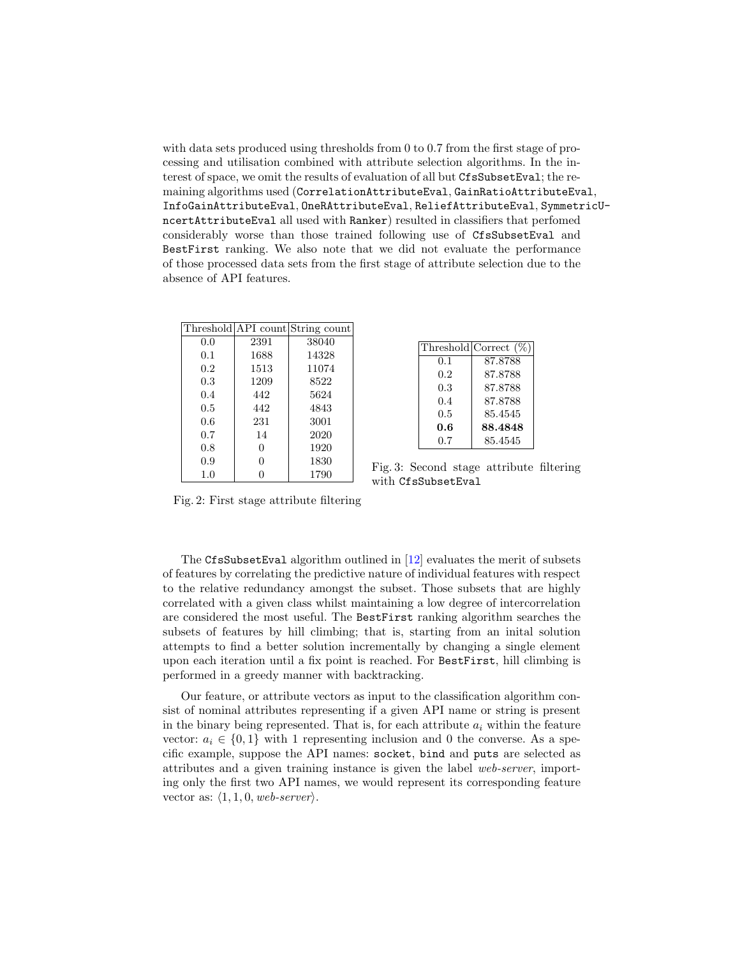with data sets produced using thresholds from 0 to 0.7 from the first stage of processing and utilisation combined with attribute selection algorithms. In the interest of space, we omit the results of evaluation of all but CfsSubsetEval; the remaining algorithms used (CorrelationAttributeEval, GainRatioAttributeEval, InfoGainAttributeEval, OneRAttributeEval, ReliefAttributeEval, SymmetricUncertAttributeEval all used with Ranker) resulted in classifiers that perfomed considerably worse than those trained following use of CfsSubsetEval and BestFirst ranking. We also note that we did not evaluate the performance of those processed data sets from the first stage of attribute selection due to the absence of API features.

<span id="page-9-0"></span>

|     |      | Threshold API count String count |
|-----|------|----------------------------------|
| 0.0 | 2391 | 38040                            |
| 0.1 | 1688 | 14328                            |
| 0.2 | 1513 | 11074                            |
| 0.3 | 1209 | 8522                             |
| 0.4 | 442  | 5624                             |
| 0.5 | 442  | 4843                             |
| 0.6 | 231  | 3001                             |
| 0.7 | 14   | 2020                             |
| 0.8 | 0    | 1920                             |
| 0.9 | 0    | 1830                             |
| 1.0 |      | 1790                             |

|     | Threshold Correct (%) |
|-----|-----------------------|
| 0.1 | 87.8788               |
| 0.2 | 87.8788               |
| 0.3 | 87.8788               |
| 0.4 | 87.8788               |
| 0.5 | 85.4545               |
| 0.6 | 88.4848               |
| 0.7 | 85.4545               |

Fig. 3: Second stage attribute filtering with CfsSubsetEval

Fig. 2: First stage attribute filtering

The CfsSubsetEval algorithm outlined in [\[12\]](#page-22-14) evaluates the merit of subsets of features by correlating the predictive nature of individual features with respect to the relative redundancy amongst the subset. Those subsets that are highly correlated with a given class whilst maintaining a low degree of intercorrelation are considered the most useful. The BestFirst ranking algorithm searches the subsets of features by hill climbing; that is, starting from an inital solution attempts to find a better solution incrementally by changing a single element upon each iteration until a fix point is reached. For BestFirst, hill climbing is performed in a greedy manner with backtracking.

Our feature, or attribute vectors as input to the classification algorithm consist of nominal attributes representing if a given API name or string is present in the binary being represented. That is, for each attribute  $a_i$  within the feature vector:  $a_i \in \{0,1\}$  with 1 representing inclusion and 0 the converse. As a specific example, suppose the API names: socket, bind and puts are selected as attributes and a given training instance is given the label web-server, importing only the first two API names, we would represent its corresponding feature vector as:  $\langle 1, 1, 0, \text{web-server} \rangle$ .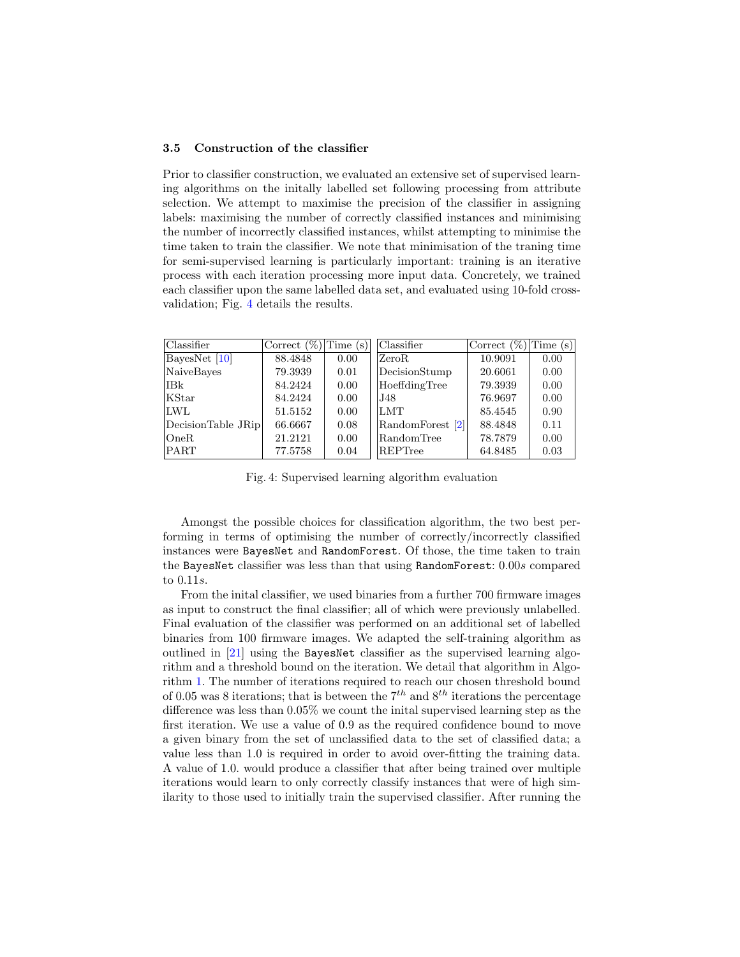#### <span id="page-10-1"></span>3.5 Construction of the classifier

Prior to classifier construction, we evaluated an extensive set of supervised learning algorithms on the initally labelled set following processing from attribute selection. We attempt to maximise the precision of the classifier in assigning labels: maximising the number of correctly classified instances and minimising the number of incorrectly classified instances, whilst attempting to minimise the time taken to train the classifier. We note that minimisation of the traning time for semi-supervised learning is particularly important: training is an iterative process with each iteration processing more input data. Concretely, we trained each classifier upon the same labelled data set, and evaluated using 10-fold crossvalidation; Fig. [4](#page-10-0) details the results.

<span id="page-10-0"></span>

| Classifier         | Correct $(\%$ | $\vert$ Time (s) | Classifier                  | Correct $(\%)$ Time (s) |      |
|--------------------|---------------|------------------|-----------------------------|-------------------------|------|
| BayesNet $[10]$    | 88.4848       | 0.00             | ZeroR                       | 10.9091                 | 0.00 |
| NaiveBayes         | 79.3939       | 0.01             | DecisionStump               | 20.6061                 | 0.00 |
| IBk                | 84.2424       | 0.00             | HoeffdingTree               | 79.3939                 | 0.00 |
| KStar              | 84.2424       | 0.00             | J48                         | 76.9697                 | 0.00 |
| <b>LWL</b>         | 51.5152       | 0.00             | <b>LMT</b>                  | 85.4545                 | 0.90 |
| DecisionTable JRip | 66.6667       | 0.08             | RandomForest <sup>[2]</sup> | 88.4848                 | 0.11 |
| OneR               | 21.2121       | 0.00             | RandomTree                  | 78.7879                 | 0.00 |
| PART               | 77.5758       | 0.04             | REPTree                     | 64.8485                 | 0.03 |

Fig. 4: Supervised learning algorithm evaluation

Amongst the possible choices for classification algorithm, the two best performing in terms of optimising the number of correctly/incorrectly classified instances were BayesNet and RandomForest. Of those, the time taken to train the BayesNet classifier was less than that using RandomForest: 0.00s compared to 0.11s.

From the inital classifier, we used binaries from a further 700 firmware images as input to construct the final classifier; all of which were previously unlabelled. Final evaluation of the classifier was performed on an additional set of labelled binaries from 100 firmware images. We adapted the self-training algorithm as outlined in [\[21\]](#page-22-2) using the BayesNet classifier as the supervised learning algorithm and a threshold bound on the iteration. We detail that algorithm in Algorithm [1.](#page-11-0) The number of iterations required to reach our chosen threshold bound of 0.05 was 8 iterations; that is between the  $7<sup>th</sup>$  and  $8<sup>th</sup>$  iterations the percentage difference was less than 0.05% we count the inital supervised learning step as the first iteration. We use a value of 0.9 as the required confidence bound to move a given binary from the set of unclassified data to the set of classified data; a value less than 1.0 is required in order to avoid over-fitting the training data. A value of 1.0. would produce a classifier that after being trained over multiple iterations would learn to only correctly classify instances that were of high similarity to those used to initially train the supervised classifier. After running the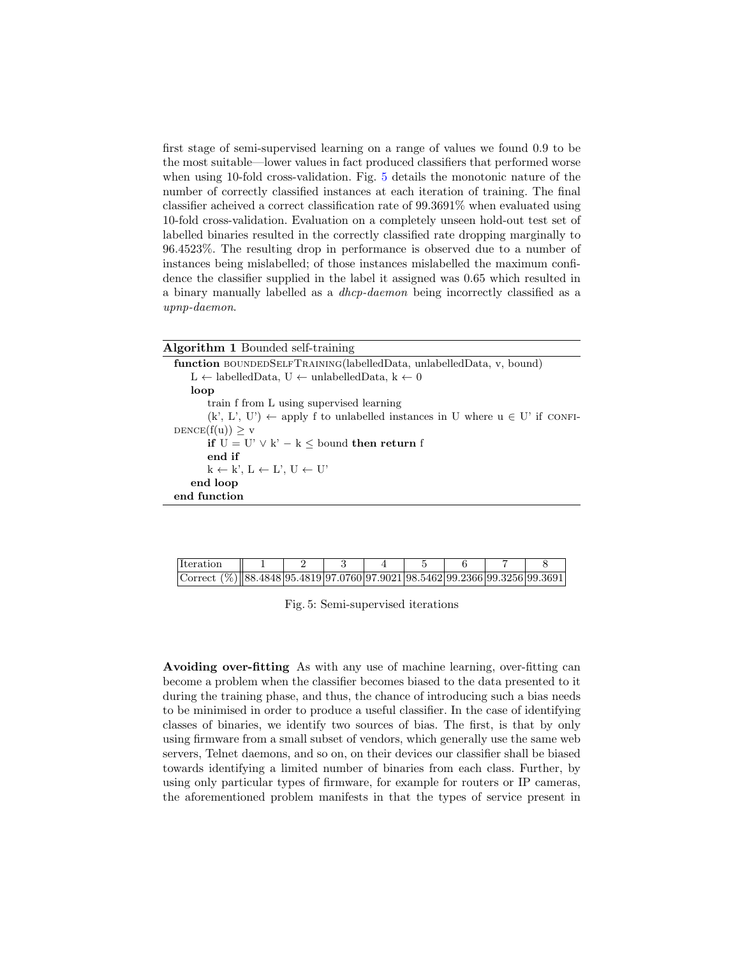first stage of semi-supervised learning on a range of values we found 0.9 to be the most suitable—lower values in fact produced classifiers that performed worse when using 10-fold cross-validation. Fig. [5](#page-11-1) details the monotonic nature of the number of correctly classified instances at each iteration of training. The final classifier acheived a correct classification rate of 99.3691% when evaluated using 10-fold cross-validation. Evaluation on a completely unseen hold-out test set of labelled binaries resulted in the correctly classified rate dropping marginally to 96.4523%. The resulting drop in performance is observed due to a number of instances being mislabelled; of those instances mislabelled the maximum confidence the classifier supplied in the label it assigned was 0.65 which resulted in a binary manually labelled as a dhcp-daemon being incorrectly classified as a upnp-daemon.

<span id="page-11-0"></span>Algorithm 1 Bounded self-training

function BOUNDEDSELFTRAINING(labelledData, unlabelledData, v, bound) L ← labelledData, U ← unlabelledData,  $k \leftarrow 0$ loop train f from L using supervised learning  $(k', L', U') \leftarrow$  apply f to unlabelled instances in U where  $u \in U'$  if CONFI-DENCE $(f(u)) \geq v$ if  $U = U' \vee k' - k \le$  bound then return f end if  $k \leftarrow k'$ ,  $L \leftarrow L'$ ,  $U \leftarrow U'$ end loop end function

<span id="page-11-1"></span>

| Iteration                                                                      |  |  |  |  |
|--------------------------------------------------------------------------------|--|--|--|--|
| Correct $(\%)$ 88.4848 95.4819 97.0760 97.9021 98.5462 99.2366 99.3256 99.3691 |  |  |  |  |

Fig. 5: Semi-supervised iterations

Avoiding over-fitting As with any use of machine learning, over-fitting can become a problem when the classifier becomes biased to the data presented to it during the training phase, and thus, the chance of introducing such a bias needs to be minimised in order to produce a useful classifier. In the case of identifying classes of binaries, we identify two sources of bias. The first, is that by only using firmware from a small subset of vendors, which generally use the same web servers, Telnet daemons, and so on, on their devices our classifier shall be biased towards identifying a limited number of binaries from each class. Further, by using only particular types of firmware, for example for routers or IP cameras, the aforementioned problem manifests in that the types of service present in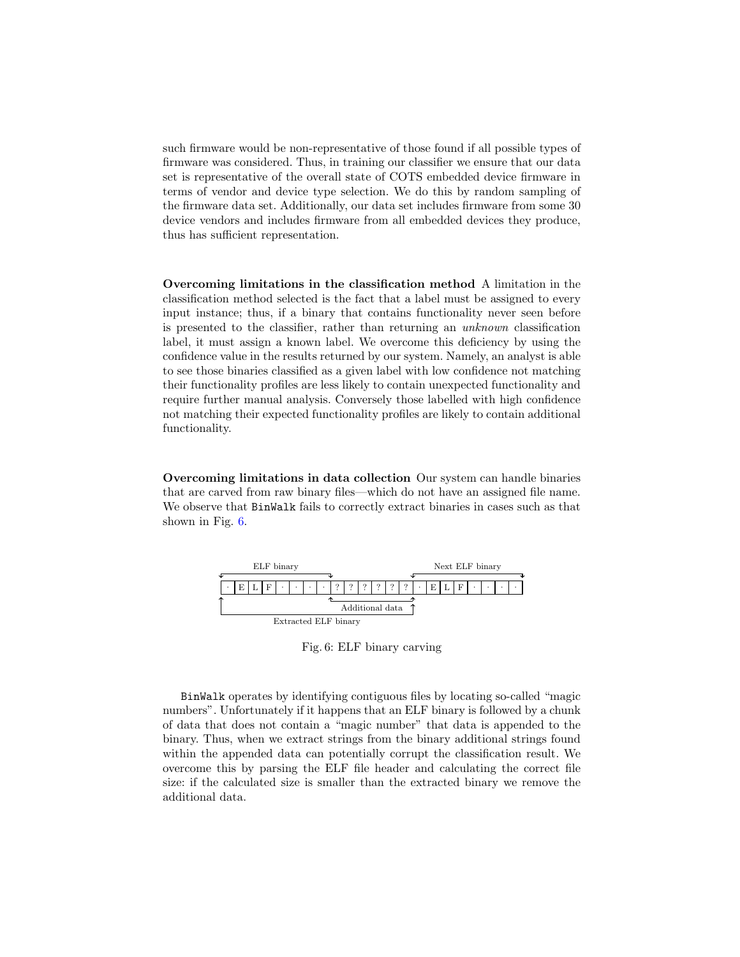such firmware would be non-representative of those found if all possible types of firmware was considered. Thus, in training our classifier we ensure that our data set is representative of the overall state of COTS embedded device firmware in terms of vendor and device type selection. We do this by random sampling of the firmware data set. Additionally, our data set includes firmware from some 30 device vendors and includes firmware from all embedded devices they produce, thus has sufficient representation.

Overcoming limitations in the classification method A limitation in the classification method selected is the fact that a label must be assigned to every input instance; thus, if a binary that contains functionality never seen before is presented to the classifier, rather than returning an unknown classification label, it must assign a known label. We overcome this deficiency by using the confidence value in the results returned by our system. Namely, an analyst is able to see those binaries classified as a given label with low confidence not matching their functionality profiles are less likely to contain unexpected functionality and require further manual analysis. Conversely those labelled with high confidence not matching their expected functionality profiles are likely to contain additional functionality.

<span id="page-12-0"></span>Overcoming limitations in data collection Our system can handle binaries that are carved from raw binary files—which do not have an assigned file name. We observe that BinWalk fails to correctly extract binaries in cases such as that shown in Fig. [6.](#page-12-1)

<span id="page-12-1"></span>

Fig. 6: ELF binary carving

BinWalk operates by identifying contiguous files by locating so-called "magic numbers". Unfortunately if it happens that an ELF binary is followed by a chunk of data that does not contain a "magic number" that data is appended to the binary. Thus, when we extract strings from the binary additional strings found within the appended data can potentially corrupt the classification result. We overcome this by parsing the ELF file header and calculating the correct file size: if the calculated size is smaller than the extracted binary we remove the additional data.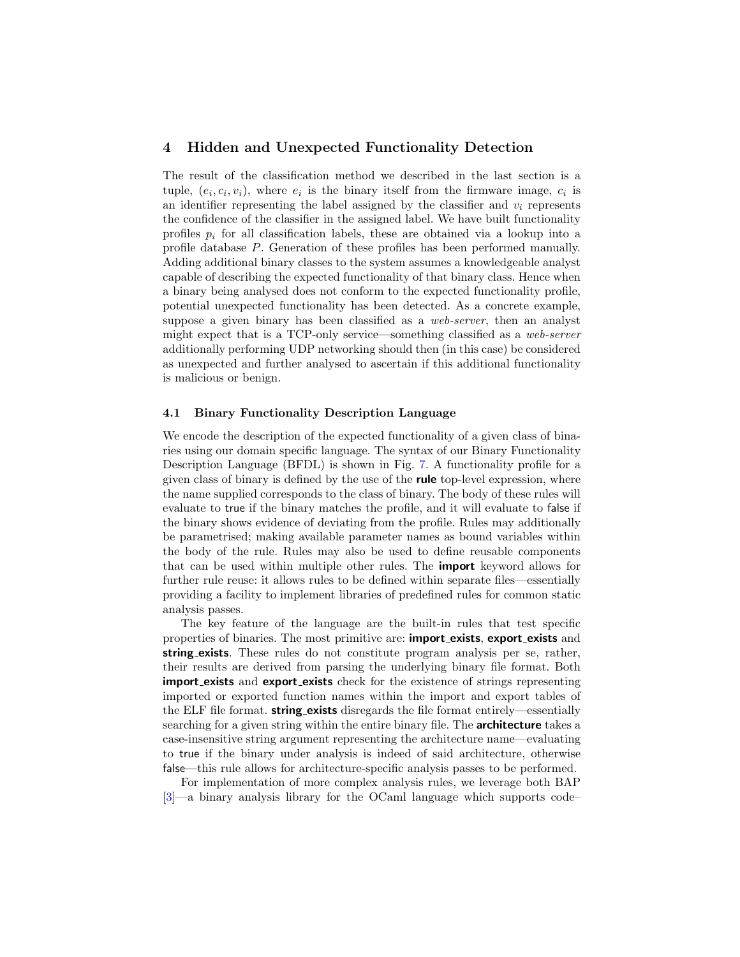#### 4 Hidden and Unexpected Functionality Detection

The result of the classification method we described in the last section is a tuple,  $(e_i, c_i, v_i)$ , where  $e_i$  is the binary itself from the firmware image,  $c_i$  is an identifier representing the label assigned by the classifier and  $v_i$  represents the confidence of the classifier in the assigned label. We have built functionality profiles  $p_i$  for all classification labels, these are obtained via a lookup into a profile database P. Generation of these profiles has been performed manually. Adding additional binary classes to the system assumes a knowledgeable analyst capable of describing the expected functionality of that binary class. Hence when a binary being analysed does not conform to the expected functionality profile, potential unexpected functionality has been detected. As a concrete example, suppose a given binary has been classified as a *web-server*, then an analyst might expect that is a TCP-only service—something classified as a web-server additionally performing UDP networking should then (in this case) be considered as unexpected and further analysed to ascertain if this additional functionality is malicious or benign.

#### 4.1 Binary Functionality Description Language

We encode the description of the expected functionality of a given class of binaries using our domain specific language. The syntax of our Binary Functionality Description Language (BFDL) is shown in Fig. [7.](#page-14-0) A functionality profile for a given class of binary is defined by the use of the **rule** top-level expression, where the name supplied corresponds to the class of binary. The body of these rules will evaluate to true if the binary matches the profile, and it will evaluate to false if the binary shows evidence of deviating from the profile. Rules may additionally be parametrised; making available parameter names as bound variables within the body of the rule. Rules may also be used to define reusable components that can be used within multiple other rules. The import keyword allows for further rule reuse: it allows rules to be defined within separate files—essentially providing a facility to implement libraries of predefined rules for common static analysis passes.

The key feature of the language are the built-in rules that test specific properties of binaries. The most primitive are: **import\_exists**, export\_exists and string exists. These rules do not constitute program analysis per se, rather, their results are derived from parsing the underlying binary file format. Both **import exists** and **export exists** check for the existence of strings representing imported or exported function names within the import and export tables of the ELF file format. **string\_exists** disregards the file format entirely—essentially searching for a given string within the entire binary file. The **architecture** takes a case-insensitive string argument representing the architecture name—evaluating to true if the binary under analysis is indeed of said architecture, otherwise false—this rule allows for architecture-specific analysis passes to be performed.

For implementation of more complex analysis rules, we leverage both BAP [\[3\]](#page-21-4)—a binary analysis library for the OCaml language which supports code–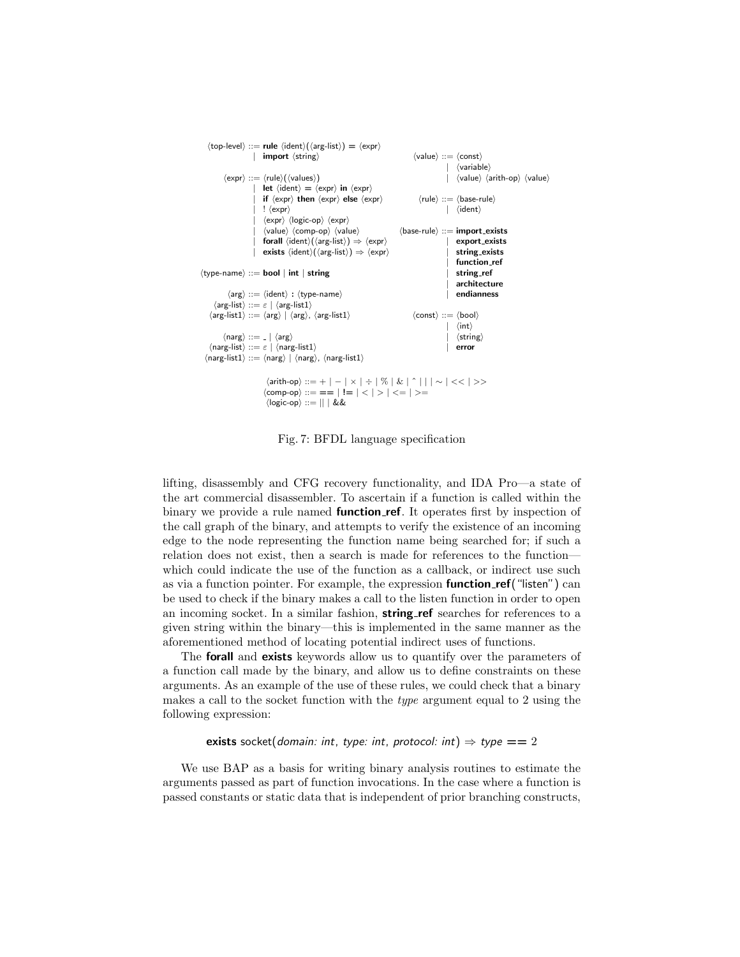<span id="page-14-0"></span>

Fig. 7: BFDL language specification

lifting, disassembly and CFG recovery functionality, and IDA Pro—a state of the art commercial disassembler. To ascertain if a function is called within the binary we provide a rule named **function\_ref**. It operates first by inspection of the call graph of the binary, and attempts to verify the existence of an incoming edge to the node representing the function name being searched for; if such a relation does not exist, then a search is made for references to the function which could indicate the use of the function as a callback, or indirect use such as via a function pointer. For example, the expression **function\_ref**( $\text{``listen''}$ ) can be used to check if the binary makes a call to the listen function in order to open an incoming socket. In a similar fashion, **string ref** searches for references to a given string within the binary—this is implemented in the same manner as the aforementioned method of locating potential indirect uses of functions.

The **forall** and **exists** keywords allow us to quantify over the parameters of a function call made by the binary, and allow us to define constraints on these arguments. As an example of the use of these rules, we could check that a binary makes a call to the socket function with the type argument equal to 2 using the following expression:

exists socket(domain: int, type: int, protocol: int)  $\Rightarrow$  type == 2

We use BAP as a basis for writing binary analysis routines to estimate the arguments passed as part of function invocations. In the case where a function is passed constants or static data that is independent of prior branching constructs,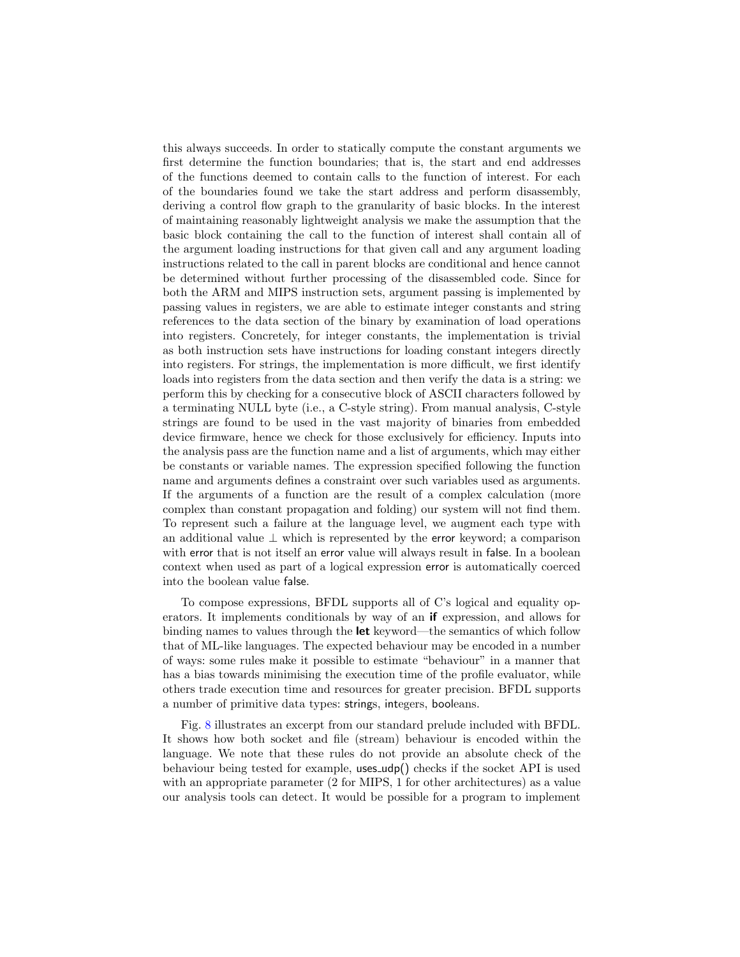this always succeeds. In order to statically compute the constant arguments we first determine the function boundaries; that is, the start and end addresses of the functions deemed to contain calls to the function of interest. For each of the boundaries found we take the start address and perform disassembly, deriving a control flow graph to the granularity of basic blocks. In the interest of maintaining reasonably lightweight analysis we make the assumption that the basic block containing the call to the function of interest shall contain all of the argument loading instructions for that given call and any argument loading instructions related to the call in parent blocks are conditional and hence cannot be determined without further processing of the disassembled code. Since for both the ARM and MIPS instruction sets, argument passing is implemented by passing values in registers, we are able to estimate integer constants and string references to the data section of the binary by examination of load operations into registers. Concretely, for integer constants, the implementation is trivial as both instruction sets have instructions for loading constant integers directly into registers. For strings, the implementation is more difficult, we first identify loads into registers from the data section and then verify the data is a string: we perform this by checking for a consecutive block of ASCII characters followed by a terminating NULL byte (i.e., a C-style string). From manual analysis, C-style strings are found to be used in the vast majority of binaries from embedded device firmware, hence we check for those exclusively for efficiency. Inputs into the analysis pass are the function name and a list of arguments, which may either be constants or variable names. The expression specified following the function name and arguments defines a constraint over such variables used as arguments. If the arguments of a function are the result of a complex calculation (more complex than constant propagation and folding) our system will not find them. To represent such a failure at the language level, we augment each type with an additional value  $\perp$  which is represented by the error keyword; a comparison with error that is not itself an error value will always result in false. In a boolean context when used as part of a logical expression error is automatically coerced into the boolean value false.

To compose expressions, BFDL supports all of C's logical and equality operators. It implements conditionals by way of an if expression, and allows for binding names to values through the let keyword—the semantics of which follow that of ML-like languages. The expected behaviour may be encoded in a number of ways: some rules make it possible to estimate "behaviour" in a manner that has a bias towards minimising the execution time of the profile evaluator, while others trade execution time and resources for greater precision. BFDL supports a number of primitive data types: strings, integers, booleans.

Fig. [8](#page-16-0) illustrates an excerpt from our standard prelude included with BFDL. It shows how both socket and file (stream) behaviour is encoded within the language. We note that these rules do not provide an absolute check of the behaviour being tested for example, uses udp() checks if the socket API is used with an appropriate parameter  $(2 \text{ for MIPS}, 1 \text{ for other architectures})$  as a value our analysis tools can detect. It would be possible for a program to implement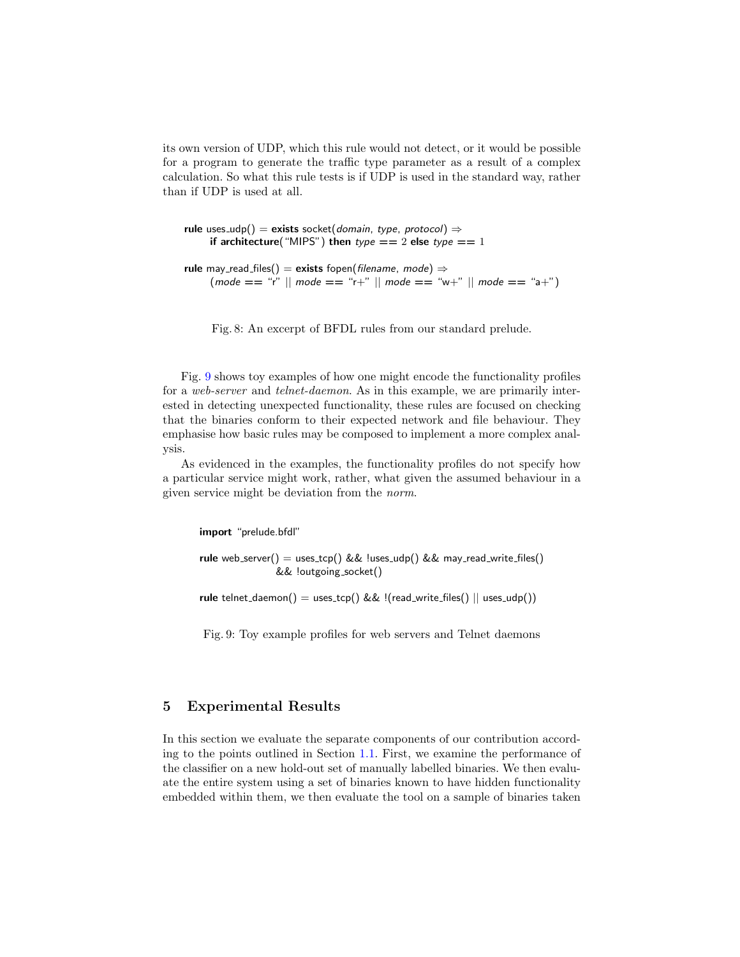its own version of UDP, which this rule would not detect, or it would be possible for a program to generate the traffic type parameter as a result of a complex calculation. So what this rule tests is if UDP is used in the standard way, rather than if UDP is used at all.

```
rule uses_udp() = exists socket(domain, type, protocol) \Rightarrowif architecture("MIPS") then type == 2 else type == 1rule may_read_files() = exists fopen(filename, mode) \Rightarrow(mod e == "r" || mode == "r+" || mode == "w+" || mode == "a+")
```
Fig. 8: An excerpt of BFDL rules from our standard prelude.

Fig. [9](#page-16-1) shows toy examples of how one might encode the functionality profiles for a web-server and telnet-daemon. As in this example, we are primarily interested in detecting unexpected functionality, these rules are focused on checking that the binaries conform to their expected network and file behaviour. They emphasise how basic rules may be composed to implement a more complex analysis.

As evidenced in the examples, the functionality profiles do not specify how a particular service might work, rather, what given the assumed behaviour in a given service might be deviation from the norm.

```
import "prelude.bfdl"
rule web_server() = uses_tcp() && !uses_udp() && may_read_write_files()
               && !outgoing socket()
```
rule telnet\_daemon() = uses\_tcp() && !(read\_write\_files() || uses\_udp())

Fig. 9: Toy example profiles for web servers and Telnet daemons

#### 5 Experimental Results

In this section we evaluate the separate components of our contribution according to the points outlined in Section [1.1.](#page-2-0) First, we examine the performance of the classifier on a new hold-out set of manually labelled binaries. We then evaluate the entire system using a set of binaries known to have hidden functionality embedded within them, we then evaluate the tool on a sample of binaries taken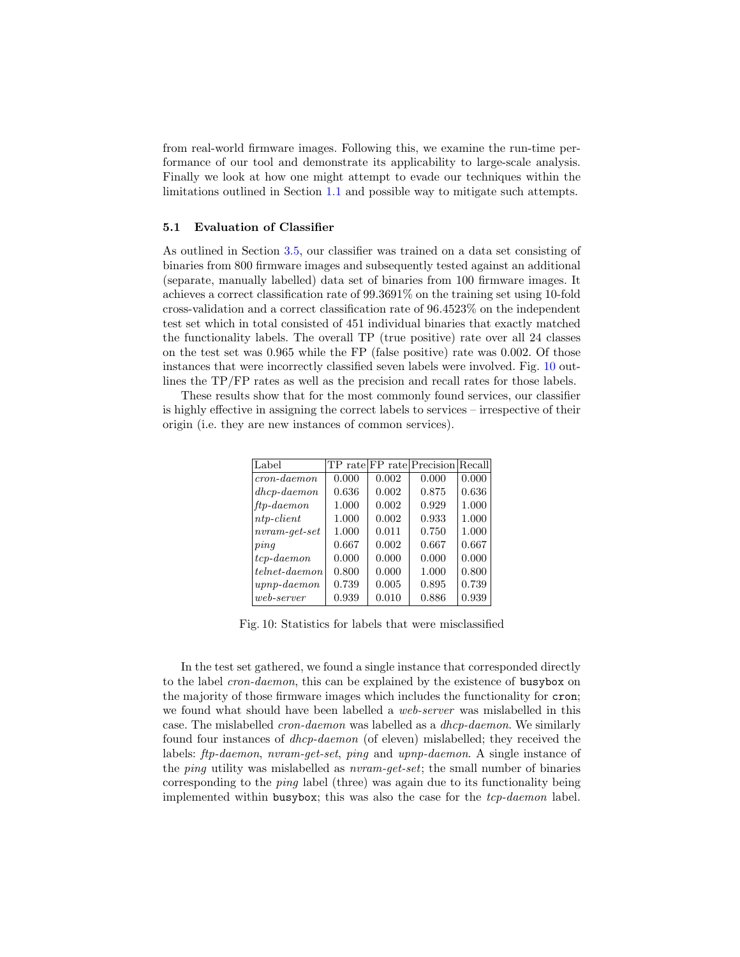from real-world firmware images. Following this, we examine the run-time performance of our tool and demonstrate its applicability to large-scale analysis. Finally we look at how one might attempt to evade our techniques within the limitations outlined in Section [1.1](#page-2-0) and possible way to mitigate such attempts.

#### 5.1 Evaluation of Classifier

As outlined in Section [3.5,](#page-10-1) our classifier was trained on a data set consisting of binaries from 800 firmware images and subsequently tested against an additional (separate, manually labelled) data set of binaries from 100 firmware images. It achieves a correct classification rate of 99.3691% on the training set using 10-fold cross-validation and a correct classification rate of 96.4523% on the independent test set which in total consisted of 451 individual binaries that exactly matched the functionality labels. The overall TP (true positive) rate over all 24 classes on the test set was 0.965 while the FP (false positive) rate was 0.002. Of those instances that were incorrectly classified seven labels were involved. Fig. [10](#page-17-0) outlines the TP/FP rates as well as the precision and recall rates for those labels.

<span id="page-17-0"></span>These results show that for the most commonly found services, our classifier is highly effective in assigning the correct labels to services – irrespective of their origin (i.e. they are new instances of common services).

| Label                         |       |       | TP rate FP rate Precision Recall |       |
|-------------------------------|-------|-------|----------------------------------|-------|
| $cron\text{-}daemon$          | 0.000 | 0.002 | 0.000                            | 0.000 |
| $drop-daemon$                 | 0.636 | 0.002 | 0.875                            | 0.636 |
| $ftp\text{-}daemon$           | 1.000 | 0.002 | 0.929                            | 1.000 |
| $ntp\text{-}client$           | 1.000 | 0.002 | 0.933                            | 1.000 |
| $nvram\text{-}get\text{-}set$ | 1.000 | 0.011 | 0.750                            | 1.000 |
| pinq                          | 0.667 | 0.002 | 0.667                            | 0.667 |
| $tcp\text{-}daemon$           | 0.000 | 0.000 | 0.000                            | 0.000 |
| $telnet-daemon$               | 0.800 | 0.000 | 1.000                            | 0.800 |
| $upnp\text{-}daemon$          | 0.739 | 0.005 | 0.895                            | 0.739 |
| $web-server$                  | 0.939 | 0.010 | 0.886                            | 0.939 |

Fig. 10: Statistics for labels that were misclassified

In the test set gathered, we found a single instance that corresponded directly to the label cron-daemon, this can be explained by the existence of busybox on the majority of those firmware images which includes the functionality for cron; we found what should have been labelled a *web-server* was mislabelled in this case. The mislabelled cron-daemon was labelled as a dhcp-daemon. We similarly found four instances of dhcp-daemon (of eleven) mislabelled; they received the labels: ftp-daemon, nvram-get-set, ping and upnp-daemon. A single instance of the ping utility was mislabelled as nvram-get-set; the small number of binaries corresponding to the ping label (three) was again due to its functionality being implemented within busybox; this was also the case for the tcp-daemon label.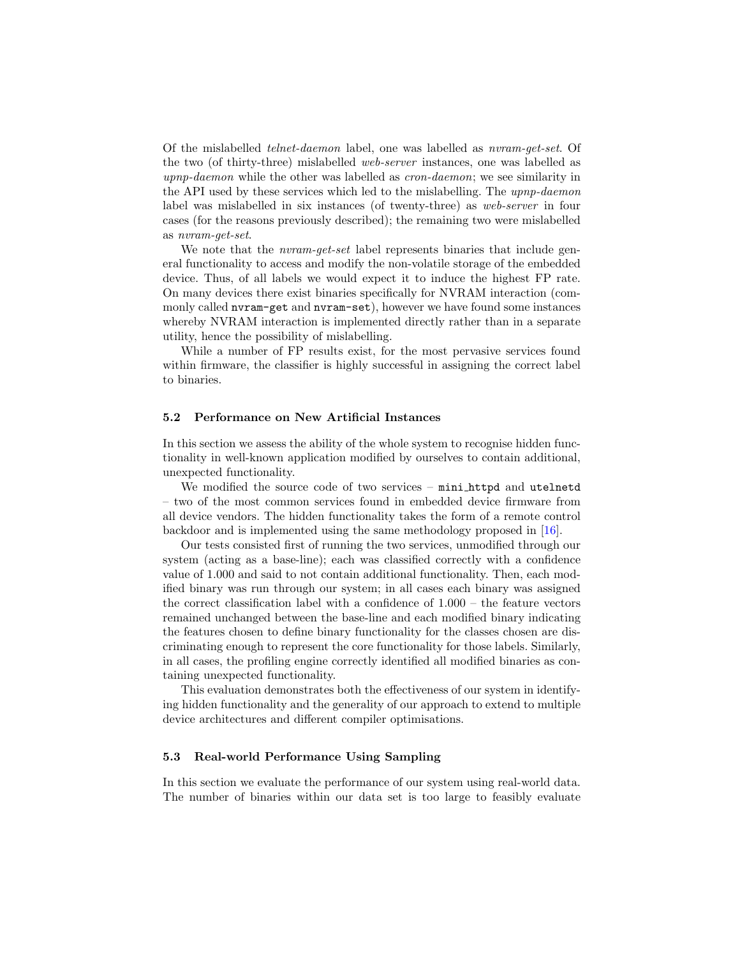Of the mislabelled telnet-daemon label, one was labelled as nvram-get-set. Of the two (of thirty-three) mislabelled web-server instances, one was labelled as upnp-daemon while the other was labelled as cron-daemon; we see similarity in the API used by these services which led to the mislabelling. The upnp-daemon label was mislabelled in six instances (of twenty-three) as web-server in four cases (for the reasons previously described); the remaining two were mislabelled as nvram-get-set.

We note that the *nvram-get-set* label represents binaries that include general functionality to access and modify the non-volatile storage of the embedded device. Thus, of all labels we would expect it to induce the highest FP rate. On many devices there exist binaries specifically for NVRAM interaction (commonly called nvram-get and nvram-set), however we have found some instances whereby NVRAM interaction is implemented directly rather than in a separate utility, hence the possibility of mislabelling.

While a number of FP results exist, for the most pervasive services found within firmware, the classifier is highly successful in assigning the correct label to binaries.

#### 5.2 Performance on New Artificial Instances

In this section we assess the ability of the whole system to recognise hidden functionality in well-known application modified by ourselves to contain additional, unexpected functionality.

We modified the source code of two services – minihttpd and utelnetd – two of the most common services found in embedded device firmware from all device vendors. The hidden functionality takes the form of a remote control backdoor and is implemented using the same methodology proposed in [\[16\]](#page-22-3).

Our tests consisted first of running the two services, unmodified through our system (acting as a base-line); each was classified correctly with a confidence value of 1.000 and said to not contain additional functionality. Then, each modified binary was run through our system; in all cases each binary was assigned the correct classification label with a confidence of 1.000 – the feature vectors remained unchanged between the base-line and each modified binary indicating the features chosen to define binary functionality for the classes chosen are discriminating enough to represent the core functionality for those labels. Similarly, in all cases, the profiling engine correctly identified all modified binaries as containing unexpected functionality.

This evaluation demonstrates both the effectiveness of our system in identifying hidden functionality and the generality of our approach to extend to multiple device architectures and different compiler optimisations.

#### 5.3 Real-world Performance Using Sampling

In this section we evaluate the performance of our system using real-world data. The number of binaries within our data set is too large to feasibly evaluate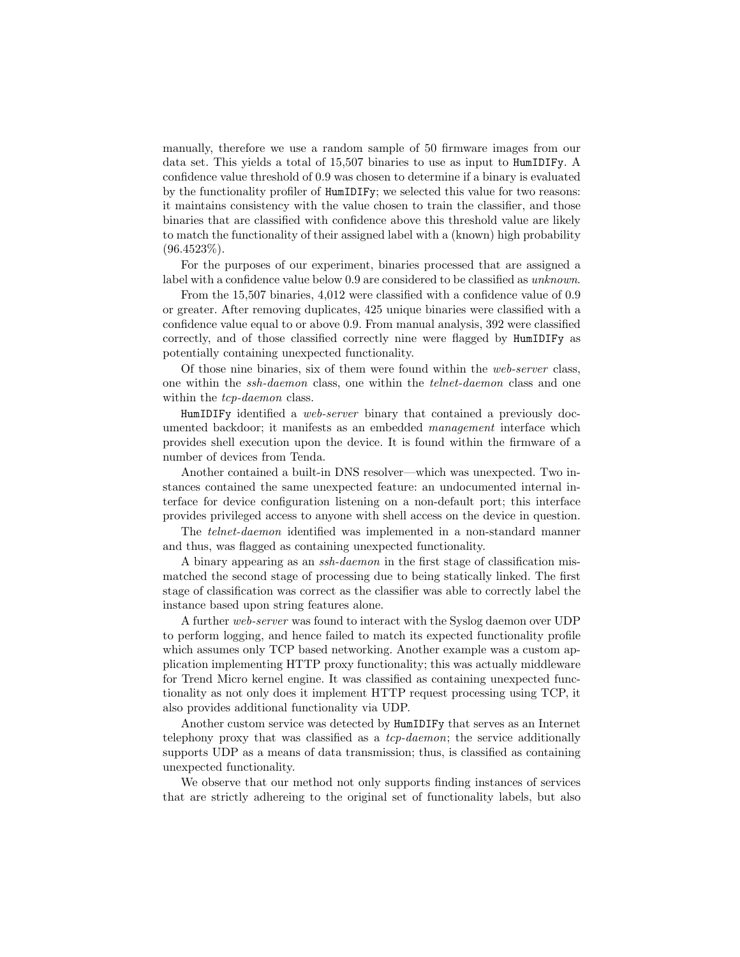manually, therefore we use a random sample of 50 firmware images from our data set. This yields a total of 15,507 binaries to use as input to HumIDIFy. A confidence value threshold of 0.9 was chosen to determine if a binary is evaluated by the functionality profiler of HumIDIFy; we selected this value for two reasons: it maintains consistency with the value chosen to train the classifier, and those binaries that are classified with confidence above this threshold value are likely to match the functionality of their assigned label with a (known) high probability  $(96.4523\%).$ 

For the purposes of our experiment, binaries processed that are assigned a label with a confidence value below 0.9 are considered to be classified as *unknown*.

From the 15,507 binaries, 4,012 were classified with a confidence value of 0.9 or greater. After removing duplicates, 425 unique binaries were classified with a confidence value equal to or above 0.9. From manual analysis, 392 were classified correctly, and of those classified correctly nine were flagged by HumIDIFy as potentially containing unexpected functionality.

Of those nine binaries, six of them were found within the web-server class, one within the *ssh-daemon* class, one within the *telnet-daemon* class and one within the *tcp-daemon* class.

HumIDIFy identified a web-server binary that contained a previously documented backdoor; it manifests as an embedded management interface which provides shell execution upon the device. It is found within the firmware of a number of devices from Tenda.

Another contained a built-in DNS resolver—which was unexpected. Two instances contained the same unexpected feature: an undocumented internal interface for device configuration listening on a non-default port; this interface provides privileged access to anyone with shell access on the device in question.

The telnet-daemon identified was implemented in a non-standard manner and thus, was flagged as containing unexpected functionality.

A binary appearing as an ssh-daemon in the first stage of classification mismatched the second stage of processing due to being statically linked. The first stage of classification was correct as the classifier was able to correctly label the instance based upon string features alone.

A further web-server was found to interact with the Syslog daemon over UDP to perform logging, and hence failed to match its expected functionality profile which assumes only TCP based networking. Another example was a custom application implementing HTTP proxy functionality; this was actually middleware for Trend Micro kernel engine. It was classified as containing unexpected functionality as not only does it implement HTTP request processing using TCP, it also provides additional functionality via UDP.

Another custom service was detected by HumIDIFy that serves as an Internet telephony proxy that was classified as a *tcp-daemon*; the service additionally supports UDP as a means of data transmission; thus, is classified as containing unexpected functionality.

We observe that our method not only supports finding instances of services that are strictly adhereing to the original set of functionality labels, but also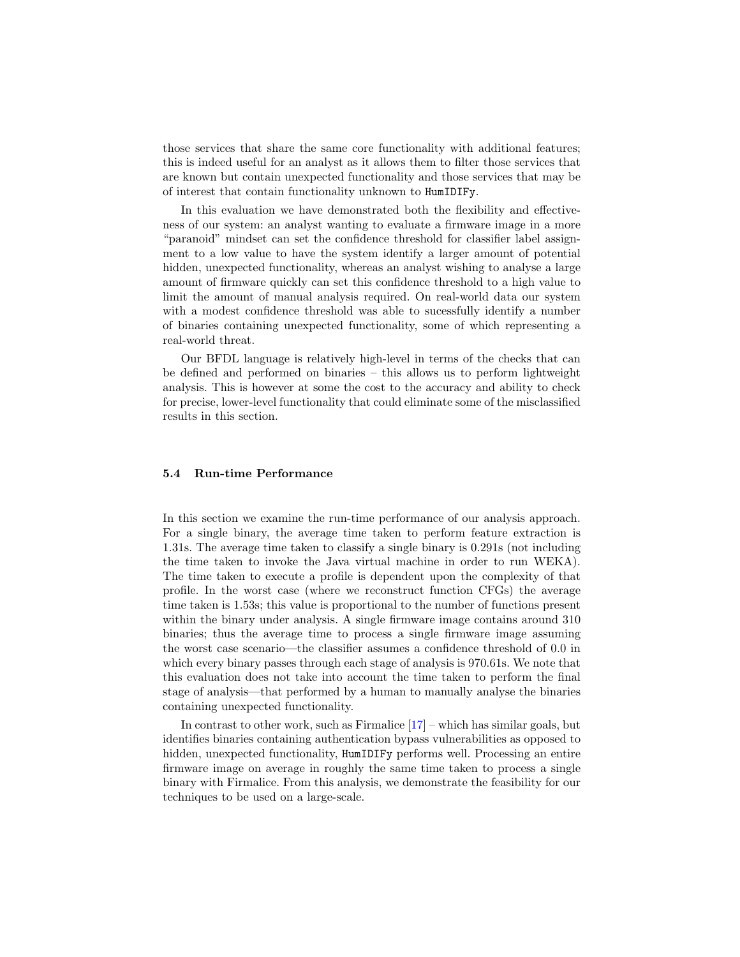those services that share the same core functionality with additional features; this is indeed useful for an analyst as it allows them to filter those services that are known but contain unexpected functionality and those services that may be of interest that contain functionality unknown to HumIDIFy.

In this evaluation we have demonstrated both the flexibility and effectiveness of our system: an analyst wanting to evaluate a firmware image in a more "paranoid" mindset can set the confidence threshold for classifier label assignment to a low value to have the system identify a larger amount of potential hidden, unexpected functionality, whereas an analyst wishing to analyse a large amount of firmware quickly can set this confidence threshold to a high value to limit the amount of manual analysis required. On real-world data our system with a modest confidence threshold was able to sucessfully identify a number of binaries containing unexpected functionality, some of which representing a real-world threat.

Our BFDL language is relatively high-level in terms of the checks that can be defined and performed on binaries – this allows us to perform lightweight analysis. This is however at some the cost to the accuracy and ability to check for precise, lower-level functionality that could eliminate some of the misclassified results in this section.

#### 5.4 Run-time Performance

In this section we examine the run-time performance of our analysis approach. For a single binary, the average time taken to perform feature extraction is 1.31s. The average time taken to classify a single binary is 0.291s (not including the time taken to invoke the Java virtual machine in order to run WEKA). The time taken to execute a profile is dependent upon the complexity of that profile. In the worst case (where we reconstruct function CFGs) the average time taken is 1.53s; this value is proportional to the number of functions present within the binary under analysis. A single firmware image contains around 310 binaries; thus the average time to process a single firmware image assuming the worst case scenario—the classifier assumes a confidence threshold of 0.0 in which every binary passes through each stage of analysis is 970.61s. We note that this evaluation does not take into account the time taken to perform the final stage of analysis—that performed by a human to manually analyse the binaries containing unexpected functionality.

In contrast to other work, such as Firmalice  $[17]$  – which has similar goals, but identifies binaries containing authentication bypass vulnerabilities as opposed to hidden, unexpected functionality, HumIDIFy performs well. Processing an entire firmware image on average in roughly the same time taken to process a single binary with Firmalice. From this analysis, we demonstrate the feasibility for our techniques to be used on a large-scale.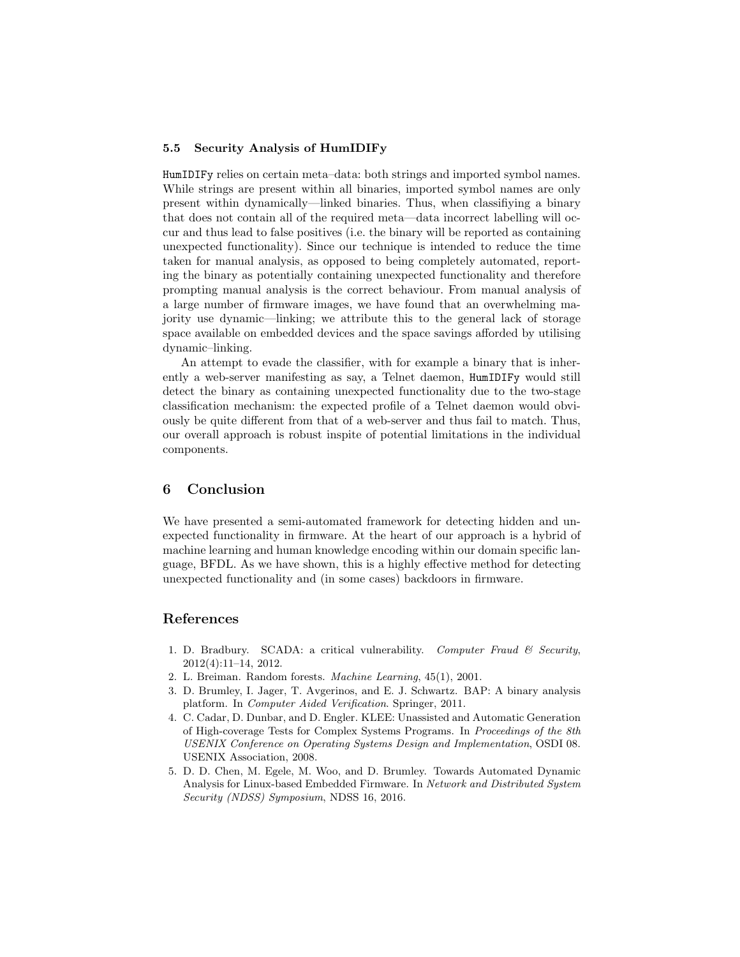#### 5.5 Security Analysis of HumIDIFy

HumIDIFy relies on certain meta–data: both strings and imported symbol names. While strings are present within all binaries, imported symbol names are only present within dynamically—linked binaries. Thus, when classifiying a binary that does not contain all of the required meta—data incorrect labelling will occur and thus lead to false positives (i.e. the binary will be reported as containing unexpected functionality). Since our technique is intended to reduce the time taken for manual analysis, as opposed to being completely automated, reporting the binary as potentially containing unexpected functionality and therefore prompting manual analysis is the correct behaviour. From manual analysis of a large number of firmware images, we have found that an overwhelming majority use dynamic—linking; we attribute this to the general lack of storage space available on embedded devices and the space savings afforded by utilising dynamic–linking.

An attempt to evade the classifier, with for example a binary that is inherently a web-server manifesting as say, a Telnet daemon, HumIDIFy would still detect the binary as containing unexpected functionality due to the two-stage classification mechanism: the expected profile of a Telnet daemon would obviously be quite different from that of a web-server and thus fail to match. Thus, our overall approach is robust inspite of potential limitations in the individual components.

#### 6 Conclusion

We have presented a semi-automated framework for detecting hidden and unexpected functionality in firmware. At the heart of our approach is a hybrid of machine learning and human knowledge encoding within our domain specific language, BFDL. As we have shown, this is a highly effective method for detecting unexpected functionality and (in some cases) backdoors in firmware.

#### References

- <span id="page-21-0"></span>1. D. Bradbury. SCADA: a critical vulnerability. Computer Fraud  $\mathcal C$  Security, 2012(4):11–14, 2012.
- <span id="page-21-3"></span>2. L. Breiman. Random forests. Machine Learning, 45(1), 2001.
- <span id="page-21-4"></span>3. D. Brumley, I. Jager, T. Avgerinos, and E. J. Schwartz. BAP: A binary analysis platform. In Computer Aided Verification. Springer, 2011.
- <span id="page-21-1"></span>4. C. Cadar, D. Dunbar, and D. Engler. KLEE: Unassisted and Automatic Generation of High-coverage Tests for Complex Systems Programs. In Proceedings of the 8th USENIX Conference on Operating Systems Design and Implementation, OSDI 08. USENIX Association, 2008.
- <span id="page-21-2"></span>5. D. D. Chen, M. Egele, M. Woo, and D. Brumley. Towards Automated Dynamic Analysis for Linux-based Embedded Firmware. In Network and Distributed System Security (NDSS) Symposium, NDSS 16, 2016.